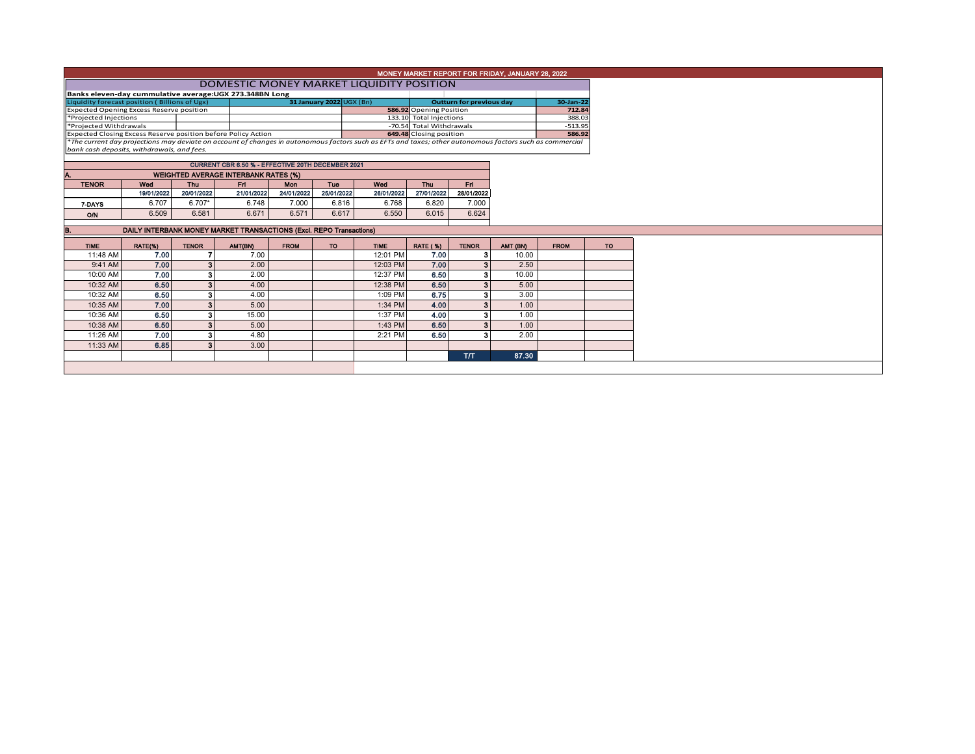|                                                                                                                                                                                                                           |                                                                     |                          |                                                   |                          |            |                                          |                                 |                | MONEY MARKET REPORT FOR FRIDAY, JANUARY 28, 2022 |             |           |  |  |
|---------------------------------------------------------------------------------------------------------------------------------------------------------------------------------------------------------------------------|---------------------------------------------------------------------|--------------------------|---------------------------------------------------|--------------------------|------------|------------------------------------------|---------------------------------|----------------|--------------------------------------------------|-------------|-----------|--|--|
|                                                                                                                                                                                                                           |                                                                     |                          |                                                   |                          |            | DOMESTIC MONEY MARKET LIQUIDITY POSITION |                                 |                |                                                  |             |           |  |  |
|                                                                                                                                                                                                                           | Banks eleven-day cummulative average: UGX 273.348BN Long            |                          |                                                   |                          |            |                                          |                                 |                |                                                  |             |           |  |  |
| Liquidity forecast position (Billions of Ugx)                                                                                                                                                                             |                                                                     |                          |                                                   | 31 January 2022 UGX (Bn) |            |                                          | <b>Outturn for previous day</b> |                | 30-Jan-22                                        |             |           |  |  |
| Expected Opening Excess Reserve position                                                                                                                                                                                  |                                                                     | 586.92 Opening Position  |                                                   |                          | 712.84     |                                          |                                 |                |                                                  |             |           |  |  |
| *Projected Injections                                                                                                                                                                                                     |                                                                     |                          |                                                   |                          |            |                                          | 133.10 Total Injections         |                |                                                  | 388.03      |           |  |  |
| *Projected Withdrawals                                                                                                                                                                                                    |                                                                     | -70.54 Total Withdrawals |                                                   |                          | $-513.95$  |                                          |                                 |                |                                                  |             |           |  |  |
| Expected Closing Excess Reserve position before Policy Action<br>*The current day projections may deviate on account of changes in autonomous factors such as EFTs and taxes; other autonomous factors such as commercial |                                                                     |                          |                                                   |                          |            |                                          | 649.48 Closing position         |                |                                                  | 586.92      |           |  |  |
|                                                                                                                                                                                                                           |                                                                     |                          |                                                   |                          |            |                                          |                                 |                |                                                  |             |           |  |  |
| bank cash deposits, withdrawals, and fees.                                                                                                                                                                                |                                                                     |                          |                                                   |                          |            |                                          |                                 |                |                                                  |             |           |  |  |
|                                                                                                                                                                                                                           |                                                                     |                          | CURRENT CBR 6.50 % - EFFECTIVE 20TH DECEMBER 2021 |                          |            |                                          |                                 |                |                                                  |             |           |  |  |
|                                                                                                                                                                                                                           |                                                                     |                          |                                                   |                          |            |                                          |                                 |                |                                                  |             |           |  |  |
|                                                                                                                                                                                                                           |                                                                     |                          | <b>WEIGHTED AVERAGE INTERBANK RATES (%)</b>       |                          |            |                                          |                                 |                |                                                  |             |           |  |  |
| <b>TENOR</b>                                                                                                                                                                                                              | Wed                                                                 | <b>Thu</b>               | Fn.                                               | <b>Mon</b>               | Tue        | Wed                                      | <b>Thu</b>                      | Fn.            |                                                  |             |           |  |  |
|                                                                                                                                                                                                                           | 19/01/2022                                                          | 20/01/2022               | 21/01/2022                                        | 24/01/2022               | 25/01/2022 | 26/01/2022                               | 27/01/2022                      | 28/01/2022     |                                                  |             |           |  |  |
| 7-DAYS                                                                                                                                                                                                                    | 6.707                                                               | $6.707*$                 | 6.748                                             | 7.000                    | 6.816      | 6.768                                    | 6.820                           | 7.000          |                                                  |             |           |  |  |
| <b>O/N</b>                                                                                                                                                                                                                | 6.509                                                               | 6.581                    | 6.671                                             | 6.571                    | 6.617      | 6.550                                    | 6.015                           | 6.624          |                                                  |             |           |  |  |
|                                                                                                                                                                                                                           |                                                                     |                          |                                                   |                          |            |                                          |                                 |                |                                                  |             |           |  |  |
|                                                                                                                                                                                                                           | DAILY INTERBANK MONEY MARKET TRANSACTIONS (Excl. REPO Transactions) |                          |                                                   |                          |            |                                          |                                 |                |                                                  |             |           |  |  |
| <b>TIME</b>                                                                                                                                                                                                               | RATE(%)                                                             | <b>TENOR</b>             | AMT(BN)                                           | <b>FROM</b>              | <b>TO</b>  | <b>TIME</b>                              | <b>RATE (%)</b>                 | <b>TENOR</b>   | AMT (BN)                                         | <b>FROM</b> | <b>TO</b> |  |  |
| 11:48 AM                                                                                                                                                                                                                  | 7.00                                                                |                          | 7.00                                              |                          |            | 12:01 PM                                 | 7.00                            | 3              | 10.00                                            |             |           |  |  |
| 9:41 AM                                                                                                                                                                                                                   | 7.00                                                                |                          | 2.00                                              |                          |            | 12:03 PM                                 | 7.00                            | 3 <sup>1</sup> | 2.50                                             |             |           |  |  |
| 10:00 AM                                                                                                                                                                                                                  | 7.00                                                                |                          | 2.00                                              |                          |            | 12:37 PM                                 | 6.50                            | 3              | 10.00                                            |             |           |  |  |
| 10:32 AM                                                                                                                                                                                                                  | 6.50                                                                |                          | 4.00                                              |                          |            | 12:38 PM                                 | 6.50                            | 3 <sup>1</sup> | 5.00                                             |             |           |  |  |
| 10:32 AM                                                                                                                                                                                                                  | 6.50                                                                |                          | 4.00                                              |                          |            | 1:09 PM                                  | 6.75                            | з              | 3.00                                             |             |           |  |  |
| 10:35 AM                                                                                                                                                                                                                  | 7.00                                                                |                          | 5.00                                              |                          |            | 1:34 PM                                  | 4.00                            | 3              | 1.00                                             |             |           |  |  |
| 10:36 AM                                                                                                                                                                                                                  | 6.50                                                                |                          | 15.00                                             |                          |            | 1:37 PM                                  | 4.00                            | 3              | 1.00                                             |             |           |  |  |
| 10:38 AM                                                                                                                                                                                                                  | 6.50                                                                |                          | 5.00                                              |                          |            | 1:43 PM                                  | 6.50                            | 3 <sup>1</sup> | 1.00                                             |             |           |  |  |
|                                                                                                                                                                                                                           |                                                                     |                          | 4.80                                              |                          |            | 2:21 PM                                  | 6.50                            | 3              | 2.00                                             |             |           |  |  |
| 11:26 AM                                                                                                                                                                                                                  | 7.00                                                                |                          |                                                   |                          |            |                                          |                                 |                |                                                  |             |           |  |  |
| 11:33 AM                                                                                                                                                                                                                  | 6.85                                                                |                          | 3.00                                              |                          |            |                                          |                                 |                |                                                  |             |           |  |  |
|                                                                                                                                                                                                                           |                                                                     |                          |                                                   |                          |            |                                          |                                 | T/T            | 87.30                                            |             |           |  |  |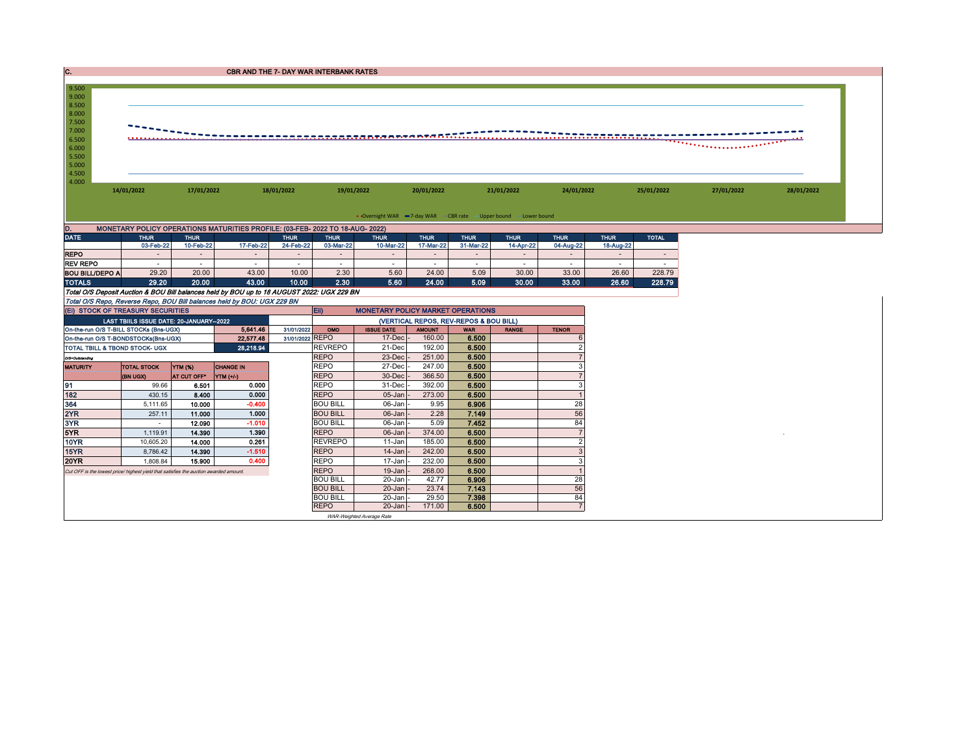| C.                             |                                         |             | CBR AND THE 7- DAY WAR INTERBANK RATES                                                     |                 |                                        |                                                                   |               |             |              |                          |             |                          |            |            |
|--------------------------------|-----------------------------------------|-------------|--------------------------------------------------------------------------------------------|-----------------|----------------------------------------|-------------------------------------------------------------------|---------------|-------------|--------------|--------------------------|-------------|--------------------------|------------|------------|
|                                |                                         |             |                                                                                            |                 |                                        |                                                                   |               |             |              |                          |             |                          |            |            |
| 9.500                          |                                         |             |                                                                                            |                 |                                        |                                                                   |               |             |              |                          |             |                          |            |            |
| 9.000<br>8.500                 |                                         |             |                                                                                            |                 |                                        |                                                                   |               |             |              |                          |             |                          |            |            |
| 8.000                          |                                         |             |                                                                                            |                 |                                        |                                                                   |               |             |              |                          |             |                          |            |            |
| 7.500                          |                                         |             |                                                                                            |                 |                                        |                                                                   |               |             |              |                          |             |                          |            |            |
| 7.000                          |                                         |             |                                                                                            |                 |                                        |                                                                   |               |             |              |                          |             |                          |            |            |
| 6.500                          |                                         |             |                                                                                            |                 |                                        |                                                                   |               |             |              |                          |             |                          |            |            |
| 6.000                          |                                         |             |                                                                                            |                 |                                        |                                                                   |               |             |              |                          |             |                          |            |            |
| 5.500                          |                                         |             |                                                                                            |                 |                                        |                                                                   |               |             |              |                          |             |                          |            |            |
| 5.000                          |                                         |             |                                                                                            |                 |                                        |                                                                   |               |             |              |                          |             |                          |            |            |
| 4.500                          |                                         |             |                                                                                            |                 |                                        |                                                                   |               |             |              |                          |             |                          |            |            |
| 4.000                          |                                         |             |                                                                                            |                 |                                        |                                                                   |               |             |              |                          |             |                          |            |            |
|                                | 14/01/2022                              | 17/01/2022  |                                                                                            | 18/01/2022      | 19/01/2022                             |                                                                   | 20/01/2022    |             | 21/01/2022   | 24/01/2022               |             | 25/01/2022               | 27/01/2022 | 28/01/2022 |
|                                |                                         |             |                                                                                            |                 |                                        |                                                                   |               |             |              |                          |             |                          |            |            |
|                                |                                         |             |                                                                                            |                 |                                        |                                                                   |               |             |              |                          |             |                          |            |            |
|                                |                                         |             |                                                                                            |                 |                                        | • Overnight WAR -7-day WAR - CBR rate - Upper bound - Lower bound |               |             |              |                          |             |                          |            |            |
| D.                             |                                         |             | MONETARY POLICY OPERATIONS MATURITIES PROFILE: (03-FEB- 2022 TO 18-AUG- 2022)              |                 |                                        |                                                                   |               |             |              |                          |             |                          |            |            |
| <b>DATE</b>                    | <b>THUR</b>                             | <b>THUR</b> |                                                                                            | <b>THUR</b>     | <b>THUR</b>                            | <b>THUR</b>                                                       | <b>THUR</b>   | <b>THUR</b> | <b>THUR</b>  | <b>THUR</b>              | <b>THUR</b> | <b>TOTAL</b>             |            |            |
|                                | 03-Feb-22                               | 10-Feb-22   | 17-Feb-22                                                                                  | 24-Feb-22       | 03-Mar-22                              | 10-Mar-22                                                         | 17-Mar-22     | 31-Mar-22   | 14-Apr-22    | 04-Aug-22                | 18-Aug-22   |                          |            |            |
| <b>REPO</b>                    |                                         |             |                                                                                            |                 | $\overline{\phantom{a}}$               | $\overline{\phantom{a}}$                                          |               |             |              | $\overline{\phantom{a}}$ |             | $\overline{\phantom{a}}$ |            |            |
| <b>REV REPO</b>                |                                         |             |                                                                                            |                 |                                        | $\sim$                                                            | $\sim$        |             |              | $\overline{\phantom{a}}$ |             |                          |            |            |
| <b>BOU BILL/DEPO A</b>         | 29.20                                   | 20.00       | 43.00                                                                                      | 10.00           | 2.30                                   | 5.60                                                              | 24.00         | 5.09        | 30.00        | 33.00                    | 26.60       | 228.79                   |            |            |
| <b>TOTALS</b>                  | 29.20                                   | 20.00       | 43.00                                                                                      | 10.00           | 2.30                                   | 5.60                                                              | 24.00         | 5.09        | 30.00        | 33.00                    | 26.60       | 228.79                   |            |            |
|                                |                                         |             | Total O/S Deposit Auction & BOU Bill balances held by BOU up to 18 AUGUST 2022: UGX 229 BN |                 |                                        |                                                                   |               |             |              |                          |             |                          |            |            |
|                                |                                         |             | Total O/S Repo, Reverse Repo, BOU Bill balances held by BOU: UGX 229 BN                    |                 |                                        |                                                                   |               |             |              |                          |             |                          |            |            |
|                                | (EI) STOCK OF TREASURY SECURITIES       |             |                                                                                            |                 | Eii)                                   | <b>MONETARY POLICY MARKET OPERATIONS</b>                          |               |             |              |                          |             |                          |            |            |
|                                | LAST TBIILS ISSUE DATE: 20-JANUARY-2022 |             |                                                                                            |                 | (VERTICAL REPOS, REV-REPOS & BOU BILL) |                                                                   |               |             |              |                          |             |                          |            |            |
|                                | On-the-run O/S T-BILL STOCKs (Bns-UGX)  |             | 5,641.46                                                                                   | 31/01/2022      | OMO                                    | <b>ISSUE DATE</b>                                                 | <b>AMOUNT</b> | <b>WAR</b>  | <b>RANGE</b> | <b>TENOR</b>             |             |                          |            |            |
|                                | On-the-run O/S T-BONDSTOCKs(Bns-UGX)    |             | 22,577.48                                                                                  | 31/01/2022 REPO |                                        | $17$ -Dec $\vert$ -                                               | 160.00        | 6.500       |              |                          |             |                          |            |            |
| TOTAL TBILL & TBOND STOCK- UGX |                                         |             | 28.218.94                                                                                  |                 | <b>REVREPO</b>                         | 21-Dec                                                            | 192.00        | 6,500       |              |                          |             |                          |            |            |
|                                |                                         |             |                                                                                            |                 |                                        |                                                                   |               |             |              |                          |             |                          |            |            |
| O/S=Outstanding                |                                         |             |                                                                                            |                 | <b>REPO</b>                            | 23-Dec                                                            | 251.00        | 6.500       |              |                          |             |                          |            |            |

| <b>Urs=Unsameng</b>                                                                   |                    |                |                  | $\overline{\phantom{a}}$ | <b>LU-DECI</b>            | LUI.UU | $\cdots$ |    |
|---------------------------------------------------------------------------------------|--------------------|----------------|------------------|--------------------------|---------------------------|--------|----------|----|
| <b>MATURITY</b>                                                                       | <b>TOTAL STOCK</b> | <b>YTM (%)</b> | <b>CHANGE IN</b> | <b>REPO</b>              | 27-Dec                    | 247.00 | 6.500    |    |
|                                                                                       | (BN UGX)           | AT CUT OFF*    | $YIM (+/-)$      | <b>REPO</b>              | 30-Dec                    | 366.50 | 6.500    |    |
| 91                                                                                    | 99.66              | 6.501          | 0.000            | <b>REPO</b>              | 31-Dec                    | 392.00 | 6.500    |    |
| 182                                                                                   | 430.15             | 8.400          | 0.000            | <b>REPO</b>              | $05$ -Jan                 | 273.00 | 6.500    |    |
| 364                                                                                   | 5,111.65           | 10.000         | $-0.400$         | <b>BOU BILL</b>          | 06-Jan -                  | 9.95   | 6.906    | 28 |
| 2YR                                                                                   | 257.11             | 11.000         | 1.000            | <b>BOU BILL</b>          | $06$ -Jan $-$             | 2.28   | 7.149    | 56 |
| 3YR                                                                                   | $\sim$             | 12.090         | $-1.010$         | <b>BOU BILL</b>          | 06-Jan -                  | 5.09   | 7.452    | 84 |
| 5YR                                                                                   | 1,119.91           | 14.390         | 1.390            | <b>REPO</b>              | $06$ -Jan $\vert$ -       | 374.00 | 6.500    |    |
| 10YR                                                                                  | 10,605.20          | 14.000         | 0.261            | <b>REVREPO</b>           | $11 - Jan$                | 185.00 | 6.500    |    |
| <b>15YR</b>                                                                           | 8,786.42           | 14.390         | $-1.510$         | <b>REPO</b>              | $14$ -Jan                 | 242.00 | 6.500    |    |
| <b>20YR</b>                                                                           | 1.808.84           | 15.900         | 0.400            | <b>REPO</b>              | $17 - Jan$                | 232.00 | 6.500    |    |
| Cut OFF is the lowest price/ highest yield that satisfies the auction awarded amount. |                    |                |                  | <b>REPO</b>              | 19-Jan                    | 268.00 | 6.500    |    |
|                                                                                       |                    |                |                  | <b>BOU BILL</b>          | 20-Jan -                  | 42.77  | 6.906    | 28 |
|                                                                                       |                    |                |                  | <b>BOU BILL</b>          | $20$ -Jan $-$             | 23.74  | 7.143    | 56 |
|                                                                                       |                    |                |                  | <b>BOU BILL</b>          | 20-Jan -                  | 29.50  | 7.398    | 84 |
|                                                                                       |                    |                |                  | <b>REPO</b>              | $20$ -Jan $\vert$ -       | 171.00 | 6.500    |    |
|                                                                                       |                    |                |                  |                          | WAR-Weighted Average Rate |        |          |    |